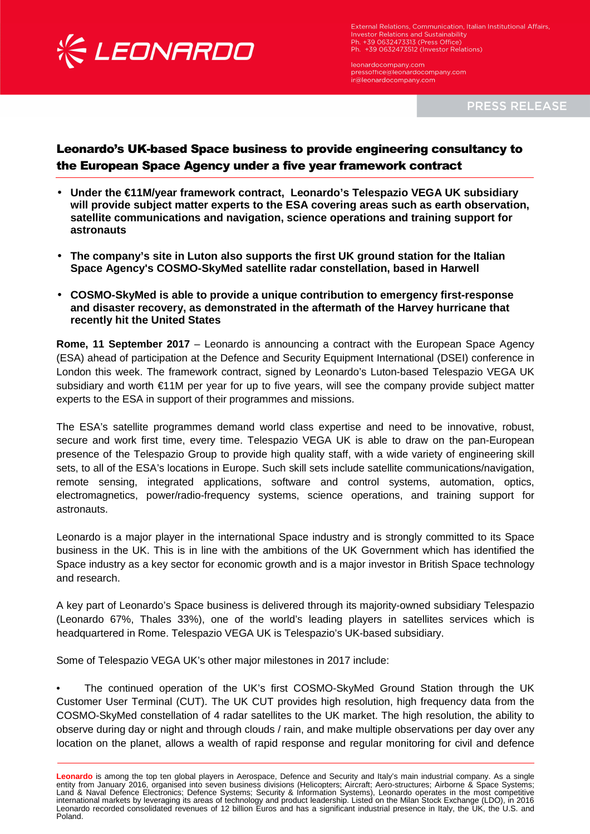

l

External Relations, Communication, Italian Institutional Affairs, Investor Relations, communication,<br>Investor Relations and Sustainability<br>Ph. +39 0632473313 (Press Office) Ph. +39 0632473512 (Investor Relations)

leonardocompany.com pressoffice@leonardocompany.com ir@leonardocompany.com

**PRESS RELEASE** 

## Leonardo's UK-based Space business to provide engineering consultancy to the European Space Agency under a five year framework contract

- **Under the €11M/year framework contract, Leonardo's Telespazio VEGA UK subsidiary will provide subject matter experts to the ESA covering areas such as earth observation, satellite communications and navigation, science operations and training support for astronauts**
- **The company's site in Luton also supports the first UK ground station for the Italian Space Agency's COSMO-SkyMed satellite radar constellation, based in Harwell**
- **COSMO-SkyMed is able to provide a unique contribution to emergency first-response and disaster recovery, as demonstrated in the aftermath of the Harvey hurricane that recently hit the United States**

**Rome, 11 September 2017** – Leonardo is announcing a contract with the European Space Agency (ESA) ahead of participation at the Defence and Security Equipment International (DSEI) conference in London this week. The framework contract, signed by Leonardo's Luton-based Telespazio VEGA UK subsidiary and worth €11M per year for up to five years, will see the company provide subject matter experts to the ESA in support of their programmes and missions.

The ESA's satellite programmes demand world class expertise and need to be innovative, robust, secure and work first time, every time. Telespazio VEGA UK is able to draw on the pan-European presence of the Telespazio Group to provide high quality staff, with a wide variety of engineering skill sets, to all of the ESA's locations in Europe. Such skill sets include satellite communications/navigation, remote sensing, integrated applications, software and control systems, automation, optics, electromagnetics, power/radio-frequency systems, science operations, and training support for astronauts.

Leonardo is a major player in the international Space industry and is strongly committed to its Space business in the UK. This is in line with the ambitions of the UK Government which has identified the Space industry as a key sector for economic growth and is a major investor in British Space technology and research.

A key part of Leonardo's Space business is delivered through its majority-owned subsidiary Telespazio (Leonardo 67%, Thales 33%), one of the world's leading players in satellites services which is headquartered in Rome. Telespazio VEGA UK is Telespazio's UK-based subsidiary.

Some of Telespazio VEGA UK's other major milestones in 2017 include:

The continued operation of the UK's first COSMO-SkyMed Ground Station through the UK Customer User Terminal (CUT). The UK CUT provides high resolution, high frequency data from the COSMO-SkyMed constellation of 4 radar satellites to the UK market. The high resolution, the ability to observe during day or night and through clouds / rain, and make multiple observations per day over any location on the planet, allows a wealth of rapid response and regular monitoring for civil and defence

**Leonardo** is among the top ten global players in Aerospace, Defence and Security and Italy's main industrial company. As a single entity from January 2016, organised into seven business divisions (Helicopters; Aircraft; Aero-structures; Airborne & Space Systems; Land & Naval Defence Electronics; Defence Systems; Security & Information Systems), Leonardo operates in the most competitive international markets by leveraging its areas of technology and product leadership. Listed on the Milan Stock Exchange (LDO), in 2016 Leonardo recorded consolidated revenues of 12 billion Euros and has a significant industrial presence in Italy, the UK, the U.S. and Poland.